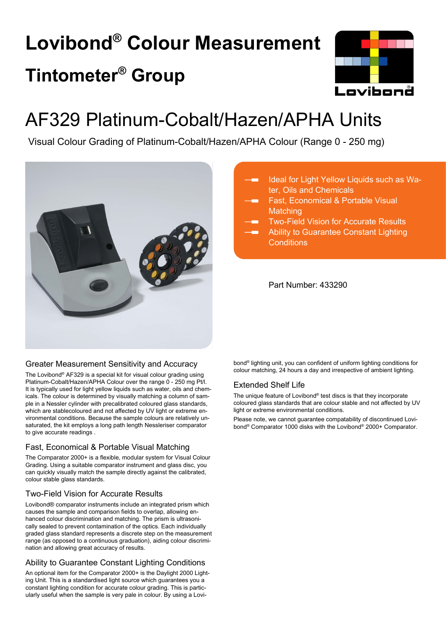# **Lovibond® Colour Measurement Tintometer® Group**



## AF329 Platinum-Cobalt/Hazen/APHA Units

Visual Colour Grading of Platinum-Cobalt/Hazen/APHA Colour (Range 0 - 250 mg)



## Ideal for Light Yellow Liquids such as Water, Oils and Chemicals

- Fast, Economical & Portable Visual **Matching**
- Two-Field Vision for Accurate Results
- Ability to Guarantee Constant Lighting **Conditions**

Part Number: 433290

## Greater Measurement Sensitivity and Accuracy

The Lovibond® AF329 is a special kit for visual colour grading using Platinum-Cobalt/Hazen/APHA Colour over the range 0 - 250 mg Pt/l. It is typically used for light yellow liquids such as water, oils and chemicals. The colour is determined by visually matching a column of sample in a Nessler cylinder with precalibrated coloured glass standards, which are stablecoloured and not affected by UV light or extreme environmental conditions. Because the sample colours are relatively unsaturated, the kit employs a long path length Nessleriser comparator to give accurate readings .

## Fast, Economical & Portable Visual Matching

The Comparator 2000+ is a flexible, modular system for Visual Colour Grading. Using a suitable comparator instrument and glass disc, you can quickly visually match the sample directly against the calibrated, colour stable glass standards.

## Two-Field Vision for Accurate Results

Lovibond® comparator instruments include an integrated prism which causes the sample and comparison fields to overlap, allowing enhanced colour discrimination and matching. The prism is ultrasonically sealed to prevent contamination of the optics. Each individually graded glass standard represents a discrete step on the measurement range (as opposed to a continuous graduation), aiding colour discrimination and allowing great accuracy of results.

## Ability to Guarantee Constant Lighting Conditions

An optional item for the Comparator 2000+ is the Daylight 2000 Lighting Unit. This is a standardised light source which guarantees you a constant lighting condition for accurate colour grading. This is particularly useful when the sample is very pale in colour. By using a Lovi-

bond® lighting unit, you can confident of uniform lighting conditions for colour matching, 24 hours a day and irrespective of ambient lighting.

## Extended Shelf Life

The unique feature of Lovibond® test discs is that they incorporate coloured glass standards that are colour stable and not affected by UV light or extreme environmental conditions.

Please note, we cannot guarantee compatability of discontinued Lovibond® Comparator 1000 disks with the Lovibond® 2000+ Comparator.